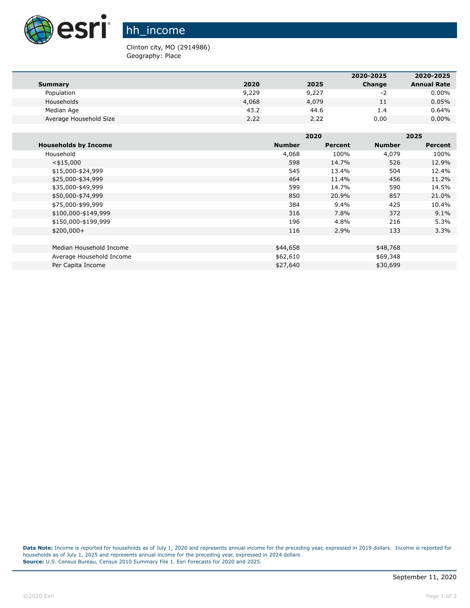

hh\_income

Clinton city, MO (2914986) Geography: Place

|                        |       |       | 2020-2025 | 2020-2025          |
|------------------------|-------|-------|-----------|--------------------|
| Summary                | 2020  | 2025  | Change    | <b>Annual Rate</b> |
| Population             | 9,229 | 9,227 | -2        | $0.00\%$           |
| Households             | 4,068 | 4,079 | 11        | 0.05%              |
| Median Age             | 43.2  | 44.6  | 1.4       | 0.64%              |
| Average Household Size | 2.22  | 2.22  | 0.00      | $0.00\%$           |

|                             |               | 2020    |               | 2025           |  |
|-----------------------------|---------------|---------|---------------|----------------|--|
| <b>Households by Income</b> | <b>Number</b> | Percent | <b>Number</b> | <b>Percent</b> |  |
| Household                   | 4,068         | 100%    | 4,079         | 100%           |  |
| $<$ \$15,000                | 598           | 14.7%   | 526           | 12.9%          |  |
| \$15,000-\$24,999           | 545           | 13.4%   | 504           | 12.4%          |  |
| \$25,000-\$34,999           | 464           | 11.4%   | 456           | 11.2%          |  |
| \$35,000-\$49,999           | 599           | 14.7%   | 590           | 14.5%          |  |
| \$50,000-\$74,999           | 850           | 20.9%   | 857           | 21.0%          |  |
| \$75,000-\$99,999           | 384           | $9.4\%$ | 425           | 10.4%          |  |
| \$100,000-\$149,999         | 316           | 7.8%    | 372           | 9.1%           |  |
| \$150,000-\$199,999         | 196           | 4.8%    | 216           | 5.3%           |  |
| $$200,000+$                 | 116           | 2.9%    | 133           | 3.3%           |  |
|                             |               |         |               |                |  |
| Median Household Income     | \$44,658      |         | \$48,768      |                |  |
| Average Household Income    | \$62,610      |         | \$69,348      |                |  |
| Per Capita Income           | \$27,640      |         | \$30,699      |                |  |

**Data Note:** Income is reported for households as of July 1, 2020 and represents annual income for the preceding year, expressed in 2019 dollars. Income is reported for households as of July 1, 2025 and represents annual income for the preceding year, expressed in 2024 dollars **Source:** U.S. Census Bureau, Census 2010 Summary File 1. Esri Forecasts for 2020 and 2025.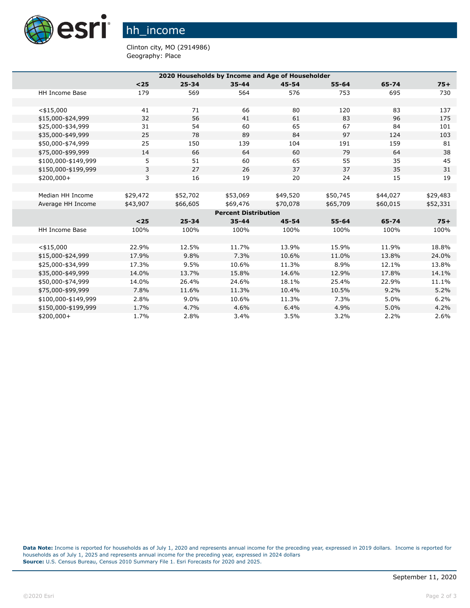

hh\_income

Clinton city, MO (2914986) Geography: Place

| 2020 Households by Income and Age of Householder |          |           |                             |           |           |          |          |
|--------------------------------------------------|----------|-----------|-----------------------------|-----------|-----------|----------|----------|
|                                                  | $25$     | $25 - 34$ | $35 - 44$                   | $45 - 54$ | $55 - 64$ | 65-74    | $75+$    |
| HH Income Base                                   | 179      | 569       | 564                         | 576       | 753       | 695      | 730      |
|                                                  |          |           |                             |           |           |          |          |
| $<$ \$15,000                                     | 41       | 71        | 66                          | 80        | 120       | 83       | 137      |
| \$15,000-\$24,999                                | 32       | 56        | 41                          | 61        | 83        | 96       | 175      |
| \$25,000-\$34,999                                | 31       | 54        | 60                          | 65        | 67        | 84       | 101      |
| \$35,000-\$49,999                                | 25       | 78        | 89                          | 84        | 97        | 124      | 103      |
| \$50,000-\$74,999                                | 25       | 150       | 139                         | 104       | 191       | 159      | 81       |
| \$75,000-\$99,999                                | 14       | 66        | 64                          | 60        | 79        | 64       | 38       |
| \$100,000-\$149,999                              | 5        | 51        | 60                          | 65        | 55        | 35       | 45       |
| \$150,000-\$199,999                              | 3        | 27        | 26                          | 37        | 37        | 35       | 31       |
| $$200,000+$                                      | 3        | 16        | 19                          | 20        | 24        | 15       | 19       |
|                                                  |          |           |                             |           |           |          |          |
| Median HH Income                                 | \$29,472 | \$52,702  | \$53,069                    | \$49,520  | \$50,745  | \$44,027 | \$29,483 |
| Average HH Income                                | \$43,907 | \$66,605  | \$69,476                    | \$70,078  | \$65,709  | \$60,015 | \$52,331 |
|                                                  |          |           | <b>Percent Distribution</b> |           |           |          |          |
|                                                  | $25$     | $25 - 34$ | $35 - 44$                   | $45 - 54$ | $55 - 64$ | 65-74    | $75+$    |
| <b>HH Income Base</b>                            | 100%     | 100%      | 100%                        | 100%      | 100%      | 100%     | 100%     |
|                                                  |          |           |                             |           |           |          |          |
| $<$ \$15,000                                     | 22.9%    | 12.5%     | 11.7%                       | 13.9%     | 15.9%     | 11.9%    | 18.8%    |
| \$15,000-\$24,999                                | 17.9%    | 9.8%      | 7.3%                        | 10.6%     | 11.0%     | 13.8%    | 24.0%    |
| \$25,000-\$34,999                                | 17.3%    | 9.5%      | 10.6%                       | 11.3%     | 8.9%      | 12.1%    | 13.8%    |
| \$35,000-\$49,999                                | 14.0%    | 13.7%     | 15.8%                       | 14.6%     | 12.9%     | 17.8%    | 14.1%    |
| \$50,000-\$74,999                                | 14.0%    | 26.4%     | 24.6%                       | 18.1%     | 25.4%     | 22.9%    | 11.1%    |
| \$75,000-\$99,999                                | 7.8%     | 11.6%     | 11.3%                       | 10.4%     | 10.5%     | 9.2%     | 5.2%     |
| \$100,000-\$149,999                              | 2.8%     | $9.0\%$   | 10.6%                       | 11.3%     | 7.3%      | 5.0%     | 6.2%     |
| \$150,000-\$199,999                              | 1.7%     | 4.7%      | 4.6%                        | 6.4%      | 4.9%      | 5.0%     | 4.2%     |
| \$200,000+                                       | 1.7%     | 2.8%      | 3.4%                        | 3.5%      | 3.2%      | 2.2%     | 2.6%     |

**Data Note:** Income is reported for households as of July 1, 2020 and represents annual income for the preceding year, expressed in 2019 dollars. Income is reported for households as of July 1, 2025 and represents annual income for the preceding year, expressed in 2024 dollars **Source:** U.S. Census Bureau, Census 2010 Summary File 1. Esri Forecasts for 2020 and 2025.